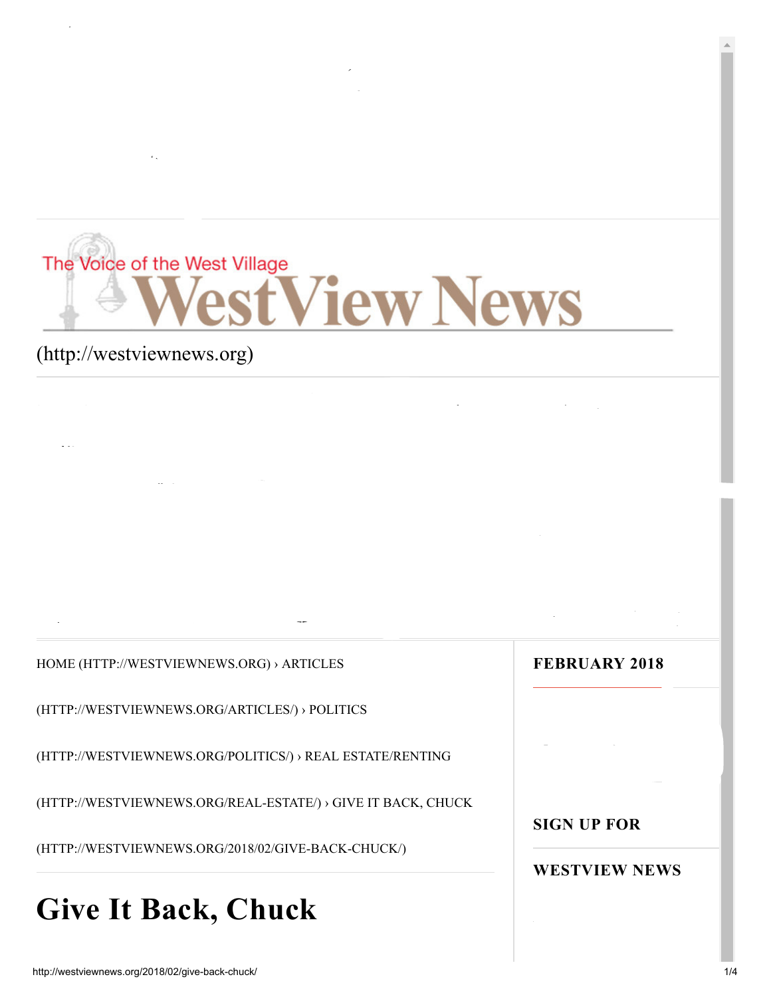# The Voice of the West Village **VestView News**

THIS MONTH ON WESTVIEW NEWS (HTTP://WEST/IEW/WESTVIEW-NEWS/) (HTTP://WESTVIEW-NEWS/) (HTTP://WESTVIEW-NEWS/) (

EDITORIALS [\(HTTP://WESTVIEWNEWS.ORG/EDITORIALS/\)](http://westviewnews.org/editorials/) ARTICLES [\(HTTP://WESTVIEWNEWS.ORG/ARTICLES/\)](http://westviewnews.org/articles/)

WESTVIEWS (HTTP://WESTVIEWS.ORg/LETTERS-2/) PHOTOS (HTTP://WESTVIEW/S.ORg/PHOTOS/) PHOTOS/2/2/2012<br>Photos/letters-2/) Photos/2/2/2012

 $2/4$  and  $2/4$  and  $2/4$  and  $2/4$  and  $2/4$  and  $2/4$  and  $2/4$  and  $2/4$  and  $2/4$ 

[Advertise \(http://westviewnews.org/advertise/\)](http://westviewnews.org/advertise/)

[Front Page \(http://westviewnews.org/\)](http://westviewnews.org/)

### [\(http://westviewnews.org\)](http://westviewnews.org/)

[HOME \(HTTP://WESTVIEWNEWS.ORG\)](http://westviewnews.org/) › ARTICLES

FEATURE IS A REPORT OF THE SET OF THE SET OF THE SET OF THE SET OF THE SET OF THE SET OF THE SET OF THE SET OF THE SET OF THE SET OF THE SET OF THE SET OF THE SET OF THE SET OF THE SET OF THE SET OF THE SET OF THE SET OF

MONTHLY COLUMNS [\(HTTP://WESTVIEWNEWS.ORG/MONTHLY-COLUMNS/\)](http://westviewnews.org/monthly-columns/)

[\(HTTP://WESTVIEWNEWS.ORG/ARTICLES/\) › POLI](http://westviewnews.org/articles/)[TICS](http://westviewnews.org/politics/)

[\(HTTP://WESTVIEWNEWS.ORG/POLITICS/\) › REAL ESTATE/RENTING](http://westviewnews.org/real-estate/)

[\(HTTP://WESTVIEWNEWS.ORG/REAL-ESTATE/\) › GIVE IT BACK, CHUCK](http://westviewnews.org/2018/02/give-back-chuck/)

(HTTP://WESTVIEWNEWS.ORG/2018/02/GIVE-BACK-CHUCK/)

# Give It Back, Chuck

#### FEBRUARY 2018

#### WESTVIEW NEWS

SIGN UP FOR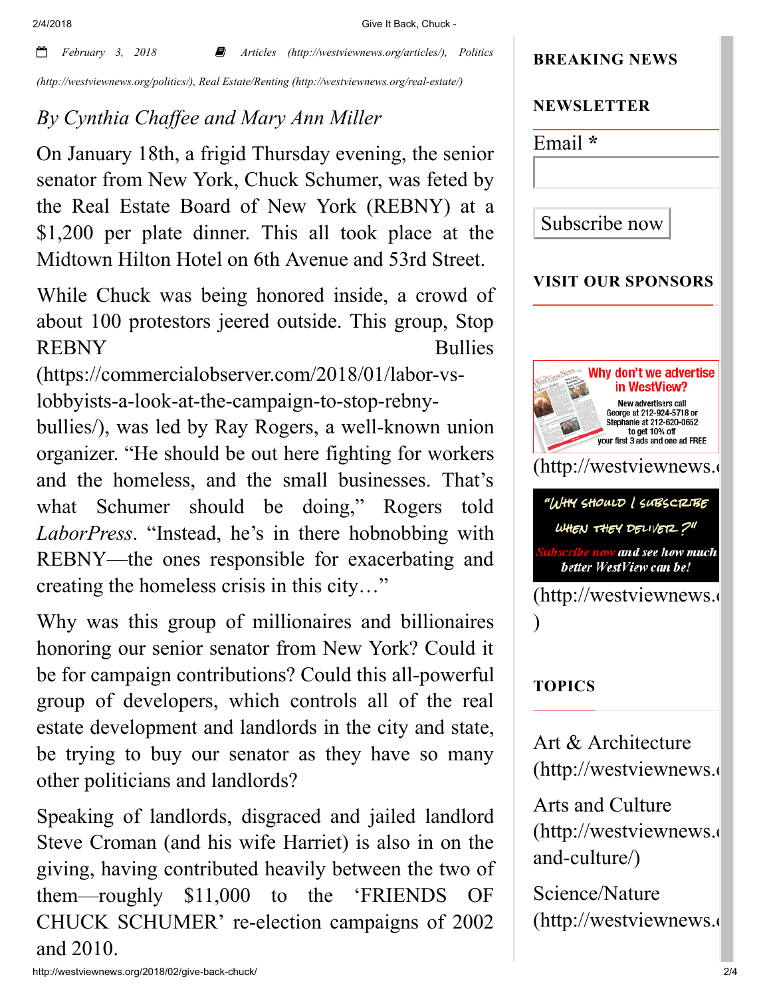2/4/2018 Give It Back, Chuck -

 *February 3, 2018 Articles [\(http://westviewnews.org/articles/\)](http://westviewnews.org/articles/), Politics [\(http://westviewnews.org/politics/\), Real Estate/Renting \(http://westviewnews.org/real-estate/\)](http://westviewnews.org/politics/)*

## *By Cynthia Chaffee and Mary Ann Miller*

On January 18th, a frigid Thursday evening, the senior senator from New York, Chuck Schumer, was feted by the Real Estate Board of New York (REBNY) at a \$1,200 per plate dinner. This all took place at the Midtown Hilton Hotel on 6th Avenue and 53rd Street.

While Chuck was being honored inside, a crowd of about 100 protestors jeered outside. This group, Stop [REBNY Bullies](https://commercialobserver.com/2018/01/labor-vs-lobbyists-a-look-at-the-campaign-to-stop-rebny-bullies/)

(https://commercialobserver.com/2018/01/labor-vslobbyists-a-look-at-the-campaign-to-stop-rebny-

bullies/), was led by Ray Rogers, a well-known union organizer. "He should be out here fighting for workers and the homeless, and the small businesses. That's what Schumer should be doing," Rogers told *LaborPress*. "Instead, he's in there hobnobbing with REBNY—the ones responsible for exacerbating and creating the homeless crisis in this city…"

Why was this group of millionaires and billionaires honoring our senior senator from New York? Could it be for campaign contributions? Could this all-powerful group of developers, which controls all of the real estate development and landlords in the city and state, be trying to buy our senator as they have so many other politicians and landlords?

Speaking of landlords, disgraced and jailed landlord Steve Croman (and his wife Harriet) is also in on the giving, having contributed heavily between the two of them—roughly \$11,000 to the 'FRIENDS OF CHUCK SCHUMER' re-election campaigns of 2002 and 2010.



Science/Nature [\(http://westviewnews.o](http://westviewnews.org/environment/)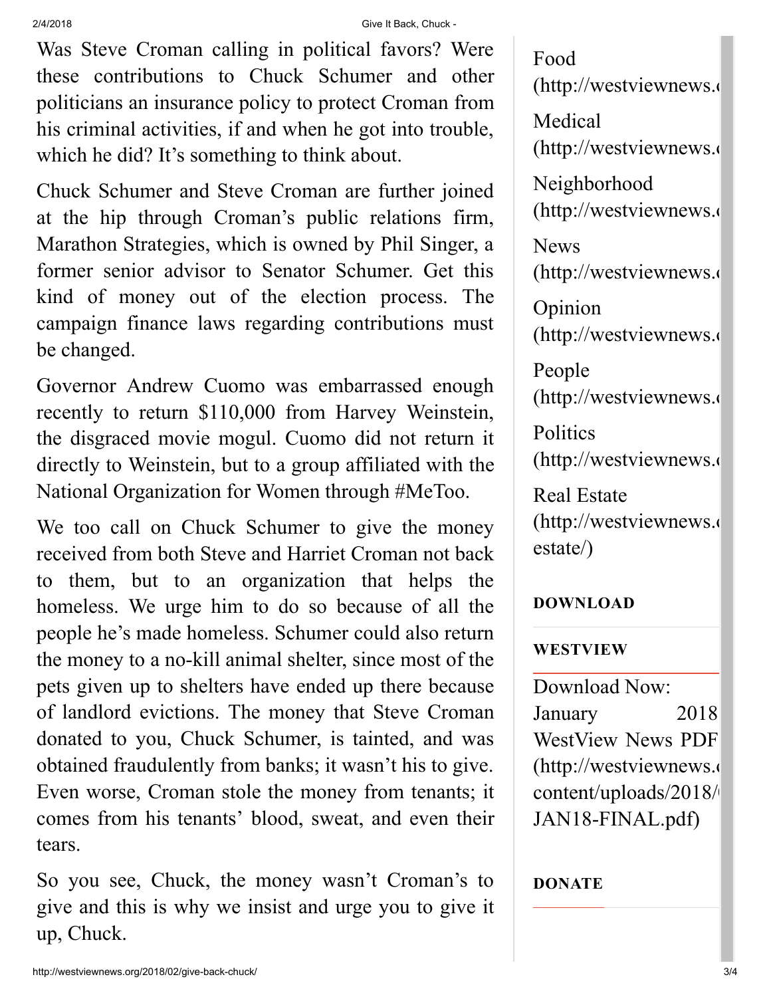2/4/2018 Give It Back, Chuck -

Was Steve Croman calling in political favors? Were these contributions to Chuck Schumer and other politicians an insurance policy to protect Croman from his criminal activities, if and when he got into trouble, which he did? It's something to think about.

Chuck Schumer and Steve Croman are further joined at the hip through Croman's public relations firm, Marathon Strategies, which is owned by Phil Singer, a former senior advisor to Senator Schumer. Get this kind of money out of the election process. The campaign finance laws regarding contributions must be changed.

Governor Andrew Cuomo was embarrassed enough recently to return \$110,000 from Harvey Weinstein, the disgraced movie mogul. Cuomo did not return it directly to Weinstein, but to a group affiliated with the National Organization for Women through #MeToo.

We too call on Chuck Schumer to give the money received from both Steve and Harriet Croman not back to them, but to an organization that helps the homeless. We urge him to do so because of all the people he's made homeless. Schumer could also return the money to a no-kill animal shelter, since most of the pets given up to shelters have ended up there because of landlord evictions. The money that Steve Croman donated to you, Chuck Schumer, is tainted, and was obtained fraudulently from banks; it wasn't his to give. Even worse, Croman stole the money from tenants; it comes from his tenants' blood, sweat, and even their tears.

So you see, Chuck, the money wasn't Croman's to give and this is why we insist and urge you to give it up, Chuck.

Food [\(http://westviewnews.o](http://westviewnews.org/food/) Medical [\(http://westviewnews.o](http://westviewnews.org/medical/) Neighborhood [\(http://westviewnews.o](http://westviewnews.org/neighborhood/) News [\(http://westviewnews.o](http://westviewnews.org/news/) Opinion [\(http://westviewnews.o](http://westviewnews.org/opinion/) People [\(http://westviewnews.o](http://westviewnews.org/people/) **Politics** [\(http://westviewnews.o](http://westviewnews.org/politics/) Real Estate [\(http://westviewnews.o](http://westviewnews.org/real-estate/) estate/)

#### DOWNLOAD

#### WESTVIEW

Download Now: January 2018 WestView News PDF [\(http://westviewnews.o](http://westviewnews.org/wp-content/uploads/2018/01/WVN-JAN18-FINAL.pdf) content/uploads/2018/ JAN18-FINAL.pdf)

#### DONATE